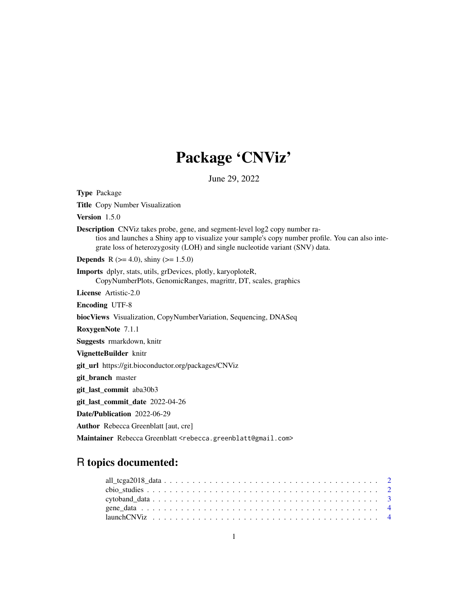# Package 'CNViz'

June 29, 2022

| <b>Type Package</b>                                                                                                                                                                                                                                                    |
|------------------------------------------------------------------------------------------------------------------------------------------------------------------------------------------------------------------------------------------------------------------------|
| <b>Title</b> Copy Number Visualization                                                                                                                                                                                                                                 |
| Version $1.5.0$                                                                                                                                                                                                                                                        |
| <b>Description</b> CNViz takes probe, gene, and segment-level log2 copy number ra-<br>tios and launches a Shiny app to visualize your sample's copy number profile. You can also inte-<br>grate loss of heterozygosity (LOH) and single nucleotide variant (SNV) data. |
| <b>Depends</b> R $(>= 4.0)$ , shiny $(>= 1.5.0)$                                                                                                                                                                                                                       |
| Imports dplyr, stats, utils, grDevices, plotly, karyoploteR,<br>CopyNumberPlots, GenomicRanges, magrittr, DT, scales, graphics                                                                                                                                         |
| <b>License</b> Artistic-2.0                                                                                                                                                                                                                                            |
| <b>Encoding UTF-8</b>                                                                                                                                                                                                                                                  |
| biocViews Visualization, CopyNumberVariation, Sequencing, DNASeq                                                                                                                                                                                                       |
| RoxygenNote 7.1.1                                                                                                                                                                                                                                                      |
| Suggests rmarkdown, knitr                                                                                                                                                                                                                                              |
| VignetteBuilder knitr                                                                                                                                                                                                                                                  |
| git_url https://git.bioconductor.org/packages/CNViz                                                                                                                                                                                                                    |
| git_branch master                                                                                                                                                                                                                                                      |
| git_last_commit aba30b3                                                                                                                                                                                                                                                |
| git_last_commit_date 2022-04-26                                                                                                                                                                                                                                        |
| Date/Publication 2022-06-29                                                                                                                                                                                                                                            |
| <b>Author</b> Rebecca Greenblatt [aut. cre]                                                                                                                                                                                                                            |
| Maintainer Rebecca Greenblatt <rebecca.greenblatt@gmail.com></rebecca.greenblatt@gmail.com>                                                                                                                                                                            |

## R topics documented: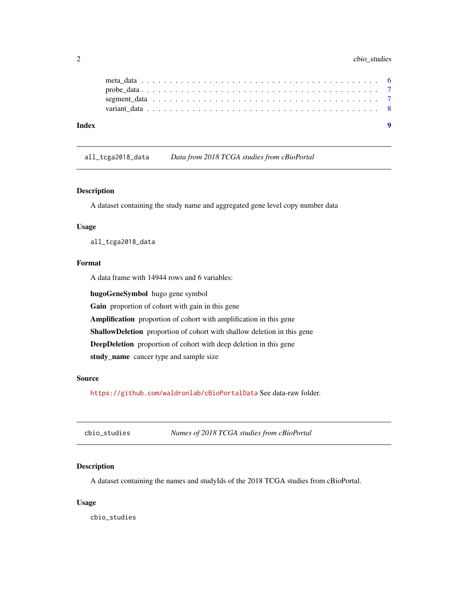## <span id="page-1-0"></span>2 cbio\_studies

| Index |  |  |  |  |  |  |  |  |  |  |  |  |  |  |  |  |  |  |
|-------|--|--|--|--|--|--|--|--|--|--|--|--|--|--|--|--|--|--|
|       |  |  |  |  |  |  |  |  |  |  |  |  |  |  |  |  |  |  |
|       |  |  |  |  |  |  |  |  |  |  |  |  |  |  |  |  |  |  |
|       |  |  |  |  |  |  |  |  |  |  |  |  |  |  |  |  |  |  |
|       |  |  |  |  |  |  |  |  |  |  |  |  |  |  |  |  |  |  |

all\_tcga2018\_data *Data from 2018 TCGA studies from cBioPortal*

## Description

A dataset containing the study name and aggregated gene level copy number data

## Usage

all\_tcga2018\_data

## Format

A data frame with 14944 rows and 6 variables:

hugoGeneSymbol hugo gene symbol Gain proportion of cohort with gain in this gene

Amplification proportion of cohort with amplification in this gene

ShallowDeletion proportion of cohort with shallow deletion in this gene

DeepDeletion proportion of cohort with deep deletion in this gene

study\_name cancer type and sample size

#### Source

<https://github.com/waldronlab/cBioPortalData> See data-raw folder.

| cbio_studies | Names of 2018 TCGA studies from cBioPortal |
|--------------|--------------------------------------------|
|--------------|--------------------------------------------|

## Description

A dataset containing the names and studyIds of the 2018 TCGA studies from cBioPortal.

#### Usage

cbio\_studies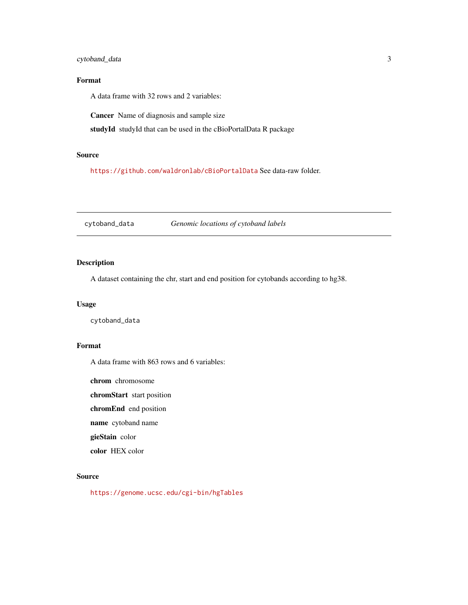## <span id="page-2-0"></span>cytoband\_data 3

## Format

A data frame with 32 rows and 2 variables:

Cancer Name of diagnosis and sample size

studyId studyId that can be used in the cBioPortalData R package

## Source

<https://github.com/waldronlab/cBioPortalData> See data-raw folder.

cytoband\_data *Genomic locations of cytoband labels*

## Description

A dataset containing the chr, start and end position for cytobands according to hg38.

#### Usage

cytoband\_data

## Format

A data frame with 863 rows and 6 variables:

chrom chromosome

chromStart start position

chromEnd end position

name cytoband name

gieStain color

color HEX color

## Source

<https://genome.ucsc.edu/cgi-bin/hgTables>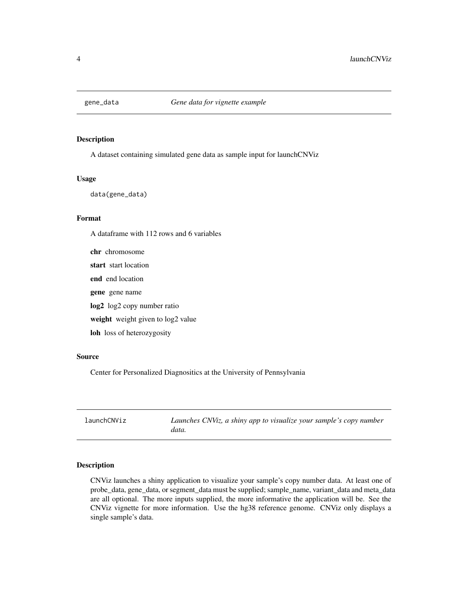<span id="page-3-0"></span>

#### Description

A dataset containing simulated gene data as sample input for launchCNViz

#### Usage

data(gene\_data)

## Format

A dataframe with 112 rows and 6 variables

chr chromosome start start location end end location gene gene name log2 log2 copy number ratio weight weight given to log2 value loh loss of heterozygosity

#### Source

Center for Personalized Diagnositics at the University of Pennsylvania

| launchCNViz | Launches CNViz, a shiny app to visualize your sample's copy number<br>data. |
|-------------|-----------------------------------------------------------------------------|
|-------------|-----------------------------------------------------------------------------|

#### Description

CNViz launches a shiny application to visualize your sample's copy number data. At least one of probe\_data, gene\_data, or segment\_data must be supplied; sample\_name, variant\_data and meta\_data are all optional. The more inputs supplied, the more informative the application will be. See the CNViz vignette for more information. Use the hg38 reference genome. CNViz only displays a single sample's data.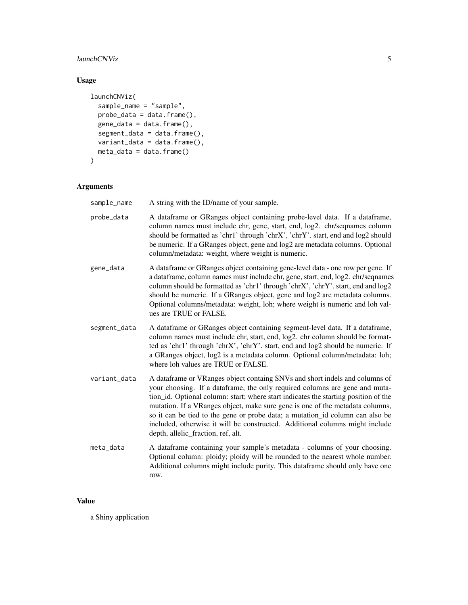## launchCNViz 5

## Usage

```
launchCNViz(
  sample_name = "sample",
  probe\_data = data.frame(),gene_data = data.frame(),
  segment_data = data.frame(),
  variant_data = data.frame(),
 meta_data = data.frame()
\mathcal{L}
```
## Arguments

| sample_name  | A string with the ID/name of your sample.                                                                                                                                                                                                                                                                                                                                                                                                                                                                                                 |
|--------------|-------------------------------------------------------------------------------------------------------------------------------------------------------------------------------------------------------------------------------------------------------------------------------------------------------------------------------------------------------------------------------------------------------------------------------------------------------------------------------------------------------------------------------------------|
| probe_data   | A dataframe or GRanges object containing probe-level data. If a dataframe,<br>column names must include chr, gene, start, end, log2. chr/seqnames column<br>should be formatted as 'chr1' through 'chrX', 'chrY'. start, end and log2 should<br>be numeric. If a GRanges object, gene and log2 are metadata columns. Optional<br>column/metadata: weight, where weight is numeric.                                                                                                                                                        |
| gene_data    | A dataframe or GRanges object containing gene-level data - one row per gene. If<br>a dataframe, column names must include chr, gene, start, end, log2. chr/seqnames<br>column should be formatted as 'chr1' through 'chrX', 'chrY'. start, end and log2<br>should be numeric. If a GRanges object, gene and log2 are metadata columns.<br>Optional columns/metadata: weight, loh; where weight is numeric and loh val-<br>ues are TRUE or FALSE.                                                                                          |
| segment_data | A dataframe or GRanges object containing segment-level data. If a dataframe,<br>column names must include chr, start, end, log2. chr column should be format-<br>ted as 'chr1' through 'chrX', 'chrY'. start, end and log2 should be numeric. If<br>a GRanges object, log2 is a metadata column. Optional column/metadata: loh;<br>where loh values are TRUE or FALSE.                                                                                                                                                                    |
| variant_data | A dataframe or VRanges object containg SNVs and short indels and columns of<br>your choosing. If a dataframe, the only required columns are gene and muta-<br>tion_id. Optional column: start; where start indicates the starting position of the<br>mutation. If a VRanges object, make sure gene is one of the metadata columns,<br>so it can be tied to the gene or probe data; a mutation_id column can also be<br>included, otherwise it will be constructed. Additional columns might include<br>depth, allelic_fraction, ref, alt. |
| meta_data    | A dataframe containing your sample's metadata - columns of your choosing.<br>Optional column: ploidy; ploidy will be rounded to the nearest whole number.<br>Additional columns might include purity. This dataframe should only have one<br>row.                                                                                                                                                                                                                                                                                         |

## Value

a Shiny application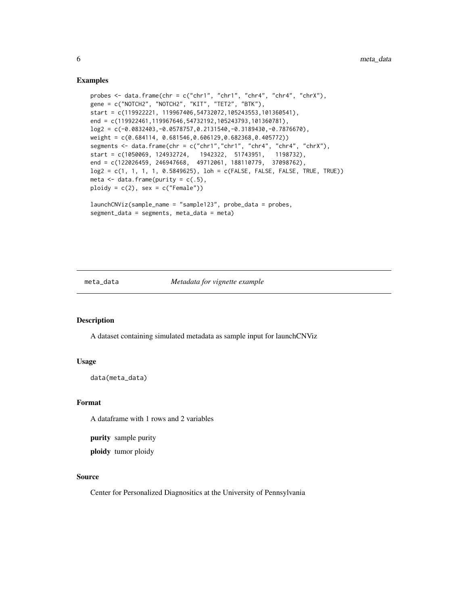#### Examples

```
probes <- data.frame(chr = c("chr1", "chr1", "chr4", "chr4", "chrX"),
gene = c("NOTCH2", "NOTCH2", "KIT", "TET2", "BTK"),
start = c(119922221, 119967406,54732072,105243553,101360541),
end = c(119922461,119967646,54732192,105243793,101360781),
log2 = c(-0.0832403, -0.0578757, 0.2131540, -0.3189430, -0.7876670),weight = c(0.684114, 0.681546,0.606129,0.682368,0.405772))
segments <- data.frame(chr = c("chr1","chr1", "chr4", "chr4", "chrX"),
start = c(1050069, 124932724, 1942322, 51743951, 1198732),
end = c(122026459, 246947668, 49712061, 188110779, 37098762),
log2 = c(1, 1, 1, 1, 0.5849625), loh = c(FALSE, FALSE, FALSE, TRUE, TRUE))
meta \leq data.frame(purity = c(.5),
ploidy = c(2), sex = c("Female")launchCNViz(sample_name = "sample123", probe_data = probes,
segment_data = segments, meta_data = meta)
```
#### meta\_data *Metadata for vignette example*

## **Description**

A dataset containing simulated metadata as sample input for launchCNViz

## Usage

```
data(meta_data)
```
#### Format

A dataframe with 1 rows and 2 variables

purity sample purity

ploidy tumor ploidy

#### Source

Center for Personalized Diagnositics at the University of Pennsylvania

<span id="page-5-0"></span>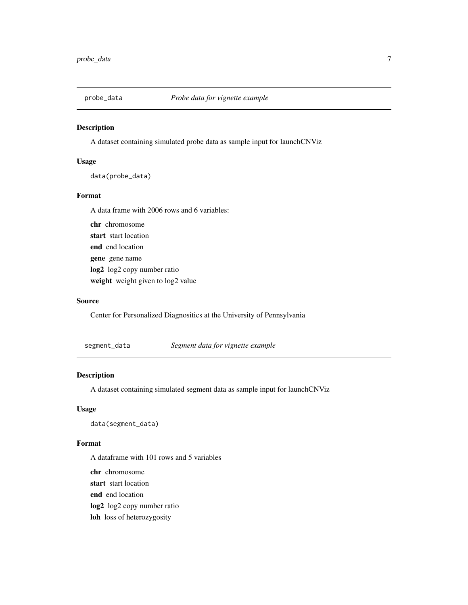<span id="page-6-0"></span>

## Description

A dataset containing simulated probe data as sample input for launchCNViz

#### Usage

data(probe\_data)

#### Format

A data frame with 2006 rows and 6 variables:

chr chromosome start start location end end location gene gene name log2 log2 copy number ratio weight weight given to log2 value

#### Source

Center for Personalized Diagnositics at the University of Pennsylvania

segment\_data *Segment data for vignette example*

## Description

A dataset containing simulated segment data as sample input for launchCNViz

#### Usage

data(segment\_data)

#### Format

A dataframe with 101 rows and 5 variables

- chr chromosome
- start start location
- end end location
- log2 log2 copy number ratio
- loh loss of heterozygosity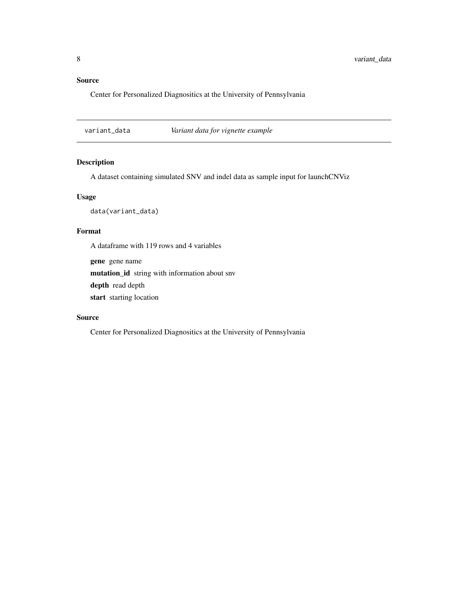## <span id="page-7-0"></span>Source

Center for Personalized Diagnositics at the University of Pennsylvania

variant\_data *Variant data for vignette example*

## Description

A dataset containing simulated SNV and indel data as sample input for launchCNViz

### Usage

data(variant\_data)

## Format

A dataframe with 119 rows and 4 variables

gene gene name

mutation\_id string with information about snv

depth read depth

start starting location

## Source

Center for Personalized Diagnositics at the University of Pennsylvania